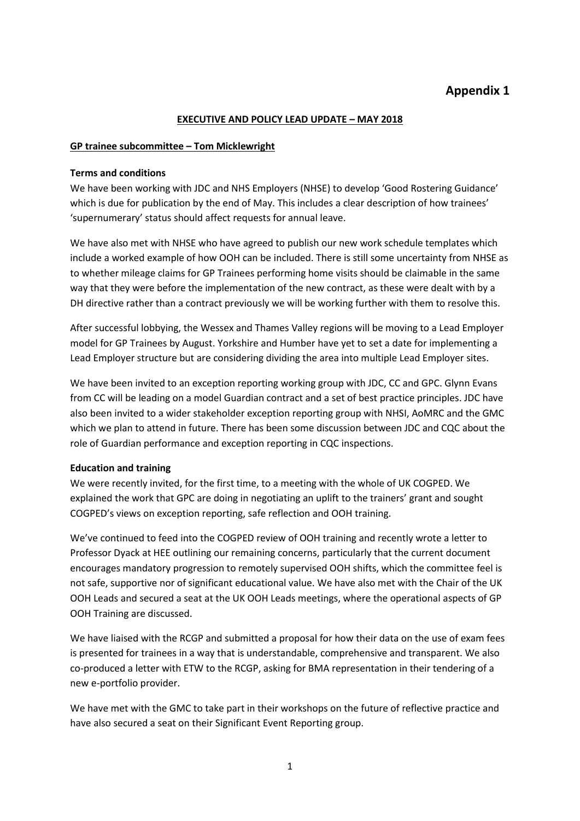# **Appendix 1**

#### **EXECUTIVE AND POLICY LEAD UPDATE – MAY 2018**

#### **GP trainee subcommittee – Tom Micklewright**

#### **Terms and conditions**

We have been working with JDC and NHS Employers (NHSE) to develop 'Good Rostering Guidance' which is due for publication by the end of May. This includes a clear description of how trainees' 'supernumerary' status should affect requests for annual leave.

We have also met with NHSE who have agreed to publish our new work schedule templates which include a worked example of how OOH can be included. There is still some uncertainty from NHSE as to whether mileage claims for GP Trainees performing home visits should be claimable in the same way that they were before the implementation of the new contract, as these were dealt with by a DH directive rather than a contract previously we will be working further with them to resolve this.

After successful lobbying, the Wessex and Thames Valley regions will be moving to a Lead Employer model for GP Trainees by August. Yorkshire and Humber have yet to set a date for implementing a Lead Employer structure but are considering dividing the area into multiple Lead Employer sites.

We have been invited to an exception reporting working group with JDC, CC and GPC. Glynn Evans from CC will be leading on a model Guardian contract and a set of best practice principles. JDC have also been invited to a wider stakeholder exception reporting group with NHSI, AoMRC and the GMC which we plan to attend in future. There has been some discussion between JDC and CQC about the role of Guardian performance and exception reporting in CQC inspections.

#### **Education and training**

We were recently invited, for the first time, to a meeting with the whole of UK COGPED. We explained the work that GPC are doing in negotiating an uplift to the trainers' grant and sought COGPED's views on exception reporting, safe reflection and OOH training.

We've continued to feed into the COGPED review of OOH training and recently wrote a letter to Professor Dyack at HEE outlining our remaining concerns, particularly that the current document encourages mandatory progression to remotely supervised OOH shifts, which the committee feel is not safe, supportive nor of significant educational value. We have also met with the Chair of the UK OOH Leads and secured a seat at the UK OOH Leads meetings, where the operational aspects of GP OOH Training are discussed.

We have liaised with the RCGP and submitted a proposal for how their data on the use of exam fees is presented for trainees in a way that is understandable, comprehensive and transparent. We also co-produced a letter with ETW to the RCGP, asking for BMA representation in their tendering of a new e-portfolio provider.

We have met with the GMC to take part in their workshops on the future of reflective practice and have also secured a seat on their Significant Event Reporting group.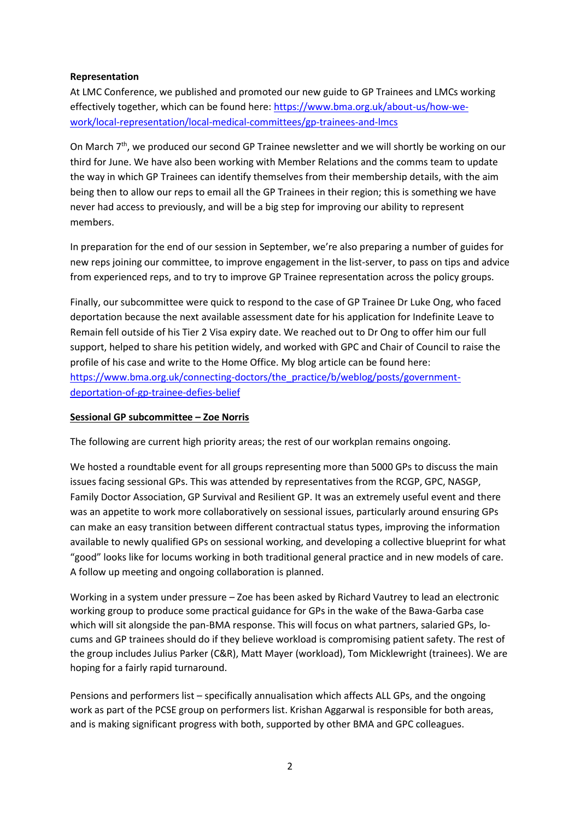# **Representation**

At LMC Conference, we published and promoted our new guide to GP Trainees and LMCs working effectively together, which can be found here: [https://www.bma.org.uk/about-us/how-we](https://www.bma.org.uk/about-us/how-we-work/local-representation/local-medical-committees/gp-trainees-and-lmcs)[work/local-representation/local-medical-committees/gp-trainees-and-lmcs](https://www.bma.org.uk/about-us/how-we-work/local-representation/local-medical-committees/gp-trainees-and-lmcs)

On March 7<sup>th</sup>, we produced our second GP Trainee newsletter and we will shortly be working on our third for June. We have also been working with Member Relations and the comms team to update the way in which GP Trainees can identify themselves from their membership details, with the aim being then to allow our reps to email all the GP Trainees in their region; this is something we have never had access to previously, and will be a big step for improving our ability to represent members.

In preparation for the end of our session in September, we're also preparing a number of guides for new reps joining our committee, to improve engagement in the list-server, to pass on tips and advice from experienced reps, and to try to improve GP Trainee representation across the policy groups.

Finally, our subcommittee were quick to respond to the case of GP Trainee Dr Luke Ong, who faced deportation because the next available assessment date for his application for Indefinite Leave to Remain fell outside of his Tier 2 Visa expiry date. We reached out to Dr Ong to offer him our full support, helped to share his petition widely, and worked with GPC and Chair of Council to raise the profile of his case and write to the Home Office. My blog article can be found here: [https://www.bma.org.uk/connecting-doctors/the\\_practice/b/weblog/posts/government](https://www.bma.org.uk/connecting-doctors/the_practice/b/weblog/posts/government-deportation-of-gp-trainee-defies-belief)[deportation-of-gp-trainee-defies-belief](https://www.bma.org.uk/connecting-doctors/the_practice/b/weblog/posts/government-deportation-of-gp-trainee-defies-belief)

#### **Sessional GP subcommittee – Zoe Norris**

The following are current high priority areas; the rest of our workplan remains ongoing.

We hosted a roundtable event for all groups representing more than 5000 GPs to discuss the main issues facing sessional GPs. This was attended by representatives from the RCGP, GPC, NASGP, Family Doctor Association, GP Survival and Resilient GP. It was an extremely useful event and there was an appetite to work more collaboratively on sessional issues, particularly around ensuring GPs can make an easy transition between different contractual status types, improving the information available to newly qualified GPs on sessional working, and developing a collective blueprint for what "good" looks like for locums working in both traditional general practice and in new models of care. A follow up meeting and ongoing collaboration is planned.

Working in a system under pressure – Zoe has been asked by Richard Vautrey to lead an electronic working group to produce some practical guidance for GPs in the wake of the Bawa-Garba case which will sit alongside the pan-BMA response. This will focus on what partners, salaried GPs, locums and GP trainees should do if they believe workload is compromising patient safety. The rest of the group includes Julius Parker (C&R), Matt Mayer (workload), Tom Micklewright (trainees). We are hoping for a fairly rapid turnaround.

Pensions and performers list – specifically annualisation which affects ALL GPs, and the ongoing work as part of the PCSE group on performers list. Krishan Aggarwal is responsible for both areas, and is making significant progress with both, supported by other BMA and GPC colleagues.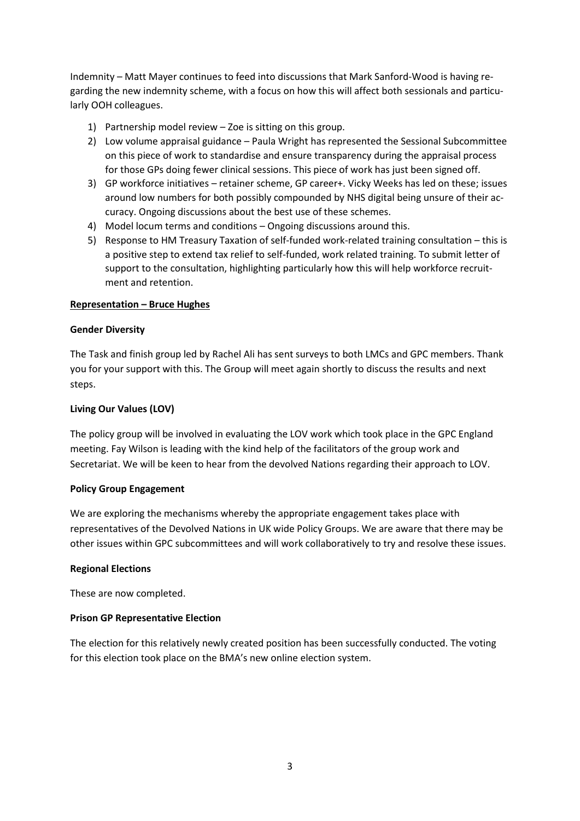Indemnity – Matt Mayer continues to feed into discussions that Mark Sanford-Wood is having regarding the new indemnity scheme, with a focus on how this will affect both sessionals and particularly OOH colleagues.

- 1) Partnership model review Zoe is sitting on this group.
- 2) Low volume appraisal guidance Paula Wright has represented the Sessional Subcommittee on this piece of work to standardise and ensure transparency during the appraisal process for those GPs doing fewer clinical sessions. This piece of work has just been signed off.
- 3) GP workforce initiatives retainer scheme, GP career+. Vicky Weeks has led on these; issues around low numbers for both possibly compounded by NHS digital being unsure of their accuracy. Ongoing discussions about the best use of these schemes.
- 4) Model locum terms and conditions Ongoing discussions around this.
- 5) Response to HM Treasury Taxation of self-funded work-related training consultation this is a positive step to extend tax relief to self-funded, work related training. To submit letter of support to the consultation, highlighting particularly how this will help workforce recruitment and retention.

#### **Representation – Bruce Hughes**

#### **Gender Diversity**

The Task and finish group led by Rachel Ali has sent surveys to both LMCs and GPC members. Thank you for your support with this. The Group will meet again shortly to discuss the results and next steps.

#### **Living Our Values (LOV)**

The policy group will be involved in evaluating the LOV work which took place in the GPC England meeting. Fay Wilson is leading with the kind help of the facilitators of the group work and Secretariat. We will be keen to hear from the devolved Nations regarding their approach to LOV.

#### **Policy Group Engagement**

We are exploring the mechanisms whereby the appropriate engagement takes place with representatives of the Devolved Nations in UK wide Policy Groups. We are aware that there may be other issues within GPC subcommittees and will work collaboratively to try and resolve these issues.

#### **Regional Elections**

These are now completed.

#### **Prison GP Representative Election**

The election for this relatively newly created position has been successfully conducted. The voting for this election took place on the BMA's new online election system.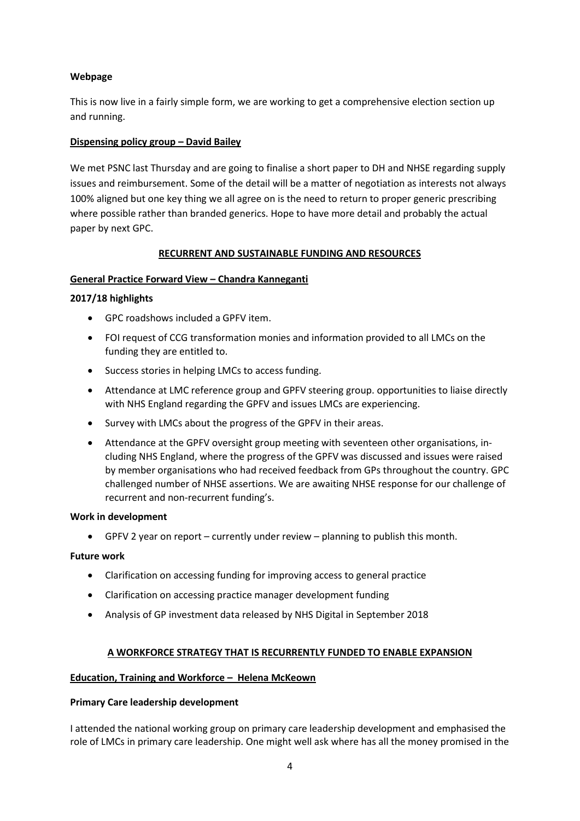## **Webpage**

This is now live in a fairly simple form, we are working to get a comprehensive election section up and running.

## **Dispensing policy group – David Bailey**

We met PSNC last Thursday and are going to finalise a short paper to DH and NHSE regarding supply issues and reimbursement. Some of the detail will be a matter of negotiation as interests not always 100% aligned but one key thing we all agree on is the need to return to proper generic prescribing where possible rather than branded generics. Hope to have more detail and probably the actual paper by next GPC.

## **RECURRENT AND SUSTAINABLE FUNDING AND RESOURCES**

# **General Practice Forward View – Chandra Kanneganti**

## **2017/18 highlights**

- GPC roadshows included a GPFV item.
- FOI request of CCG transformation monies and information provided to all LMCs on the funding they are entitled to.
- Success stories in helping LMCs to access funding.
- Attendance at LMC reference group and GPFV steering group. opportunities to liaise directly with NHS England regarding the GPFV and issues LMCs are experiencing.
- Survey with LMCs about the progress of the GPFV in their areas.
- Attendance at the GPFV oversight group meeting with seventeen other organisations, including NHS England, where the progress of the GPFV was discussed and issues were raised by member organisations who had received feedback from GPs throughout the country. GPC challenged number of NHSE assertions. We are awaiting NHSE response for our challenge of recurrent and non-recurrent funding's.

#### **Work in development**

• GPFV 2 year on report – currently under review – planning to publish this month.

#### **Future work**

- Clarification on accessing funding for improving access to general practice
- Clarification on accessing practice manager development funding
- Analysis of GP investment data released by NHS Digital in September 2018

#### **A WORKFORCE STRATEGY THAT IS RECURRENTLY FUNDED TO ENABLE EXPANSION**

#### **Education, Training and Workforce – Helena McKeown**

#### **Primary Care leadership development**

I attended the national working group on primary care leadership development and emphasised the role of LMCs in primary care leadership. One might well ask where has all the money promised in the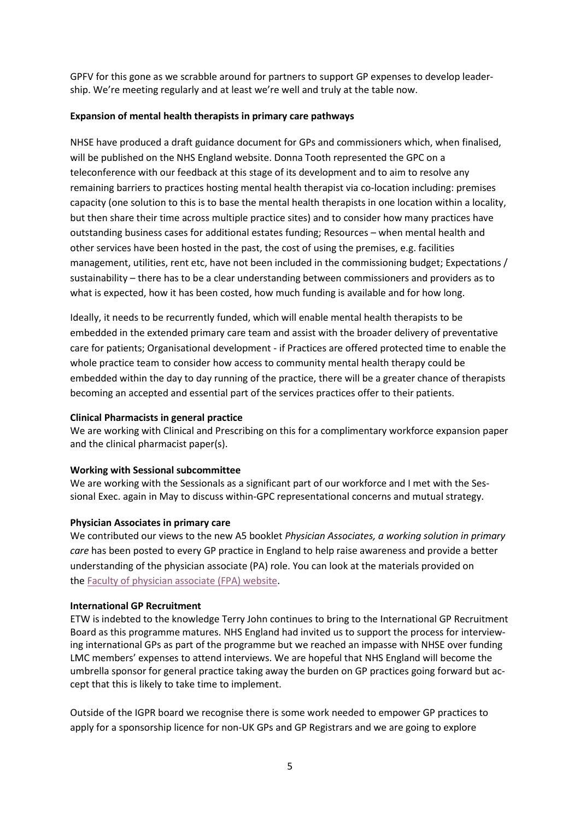GPFV for this gone as we scrabble around for partners to support GP expenses to develop leadership. We're meeting regularly and at least we're well and truly at the table now.

#### **Expansion of mental health therapists in primary care pathways**

NHSE have produced a draft guidance document for GPs and commissioners which, when finalised, will be published on the NHS England website. Donna Tooth represented the GPC on a teleconference with our feedback at this stage of its development and to aim to resolve any remaining barriers to practices hosting mental health therapist via co-location including: premises capacity (one solution to this is to base the mental health therapists in one location within a locality, but then share their time across multiple practice sites) and to consider how many practices have outstanding business cases for additional estates funding; Resources – when mental health and other services have been hosted in the past, the cost of using the premises, e.g. facilities management, utilities, rent etc, have not been included in the commissioning budget; Expectations / sustainability – there has to be a clear understanding between commissioners and providers as to what is expected, how it has been costed, how much funding is available and for how long.

Ideally, it needs to be recurrently funded, which will enable mental health therapists to be embedded in the extended primary care team and assist with the broader delivery of preventative care for patients; Organisational development - if Practices are offered protected time to enable the whole practice team to consider how access to community mental health therapy could be embedded within the day to day running of the practice, there will be a greater chance of therapists becoming an accepted and essential part of the services practices offer to their patients.

#### **Clinical Pharmacists in general practice**

We are working with Clinical and Prescribing on this for a complimentary workforce expansion paper and the clinical pharmacist paper(s).

#### **Working with Sessional subcommittee**

We are working with the Sessionals as a significant part of our workforce and I met with the Sessional Exec. again in May to discuss within-GPC representational concerns and mutual strategy.

#### **Physician Associates in primary care**

We contributed our views to the new A5 booklet *Physician Associates, a working solution in primary care* has been posted to every GP practice in England to help raise awareness and provide a better understanding of the physician associate (PA) role. You can look at the materials provided on the [Faculty of physician associate \(FPA\) website.](http://www.fparcp.co.uk/employers/pas-in-general-practice)

#### **International GP Recruitment**

ETW is indebted to the knowledge Terry John continues to bring to the International GP Recruitment Board as this programme matures. NHS England had invited us to support the process for interviewing international GPs as part of the programme but we reached an impasse with NHSE over funding LMC members' expenses to attend interviews. We are hopeful that NHS England will become the umbrella sponsor for general practice taking away the burden on GP practices going forward but accept that this is likely to take time to implement.

Outside of the IGPR board we recognise there is some work needed to empower GP practices to apply for a sponsorship licence for non-UK GPs and GP Registrars and we are going to explore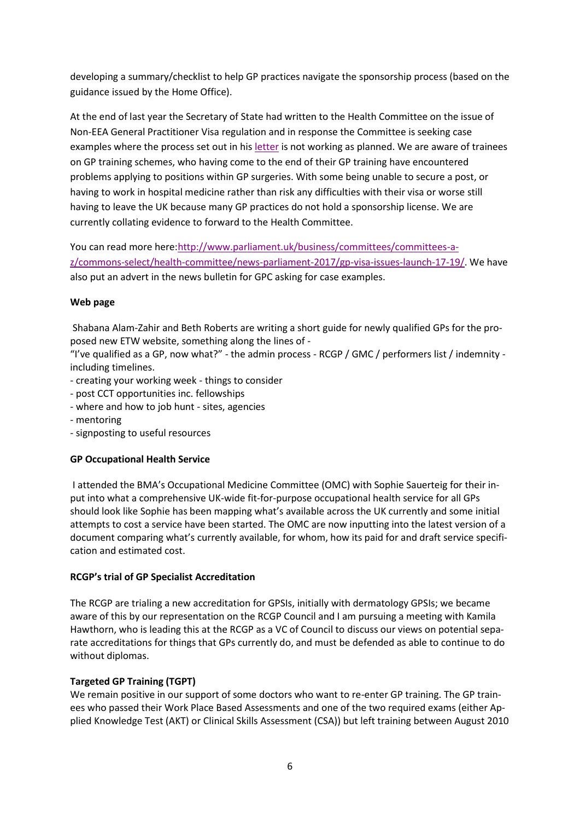developing a summary/checklist to help GP practices navigate the sponsorship process (based on the guidance issued by the Home Office).

At the end of last year the Secretary of State had written to the Health Committee on the issue of Non-EEA General Practitioner Visa regulation and in response the Committee is seeking case examples where the process set out in his [letter](https://www.parliament.uk/documents/commons-committees/Health/Correspondence/2017-19/Letter-from-Secretary-of-State-for-health-to-Chair-of-Committee-Visa-restrictions-for-non-EU-Doctors-19-October-2017.pdf) is not working as planned. We are aware of trainees on GP training schemes, who having come to the end of their GP training have encountered problems applying to positions within GP surgeries. With some being unable to secure a post, or having to work in hospital medicine rather than risk any difficulties with their visa or worse still having to leave the UK because many GP practices do not hold a sponsorship license. We are currently collating evidence to forward to the Health Committee.

You can read more here[:http://www.parliament.uk/business/committees/committees-a](http://www.parliament.uk/business/committees/committees-a-z/commons-select/health-committee/news-parliament-2017/gp-visa-issues-launch-17-19/)[z/commons-select/health-committee/news-parliament-2017/gp-visa-issues-launch-17-19/.](http://www.parliament.uk/business/committees/committees-a-z/commons-select/health-committee/news-parliament-2017/gp-visa-issues-launch-17-19/) We have also put an advert in the news bulletin for GPC asking for case examples.

# **Web page**

Shabana Alam-Zahir and Beth Roberts are writing a short guide for newly qualified GPs for the proposed new ETW website, something along the lines of -

"I've qualified as a GP, now what?" - the admin process - RCGP / GMC / performers list / indemnity including timelines.

- creating your working week things to consider
- post CCT opportunities inc. fellowships
- where and how to job hunt sites, agencies
- mentoring
- signposting to useful resources

#### **GP Occupational Health Service**

I attended the BMA's Occupational Medicine Committee (OMC) with Sophie Sauerteig for their input into what a comprehensive UK-wide fit-for-purpose occupational health service for all GPs should look like Sophie has been mapping what's available across the UK currently and some initial attempts to cost a service have been started. The OMC are now inputting into the latest version of a document comparing what's currently available, for whom, how its paid for and draft service specification and estimated cost.

#### **RCGP's trial of GP Specialist Accreditation**

The RCGP are trialing a new accreditation for GPSIs, initially with dermatology GPSIs; we became aware of this by our representation on the RCGP Council and I am pursuing a meeting with Kamila Hawthorn, who is leading this at the RCGP as a VC of Council to discuss our views on potential separate accreditations for things that GPs currently do, and must be defended as able to continue to do without diplomas.

#### **Targeted GP Training (TGPT)**

We remain positive in our support of some doctors who want to re-enter GP training. The GP trainees who passed their Work Place Based Assessments and one of the two required exams (either Applied Knowledge Test (AKT) or Clinical Skills Assessment (CSA)) but left training between August 2010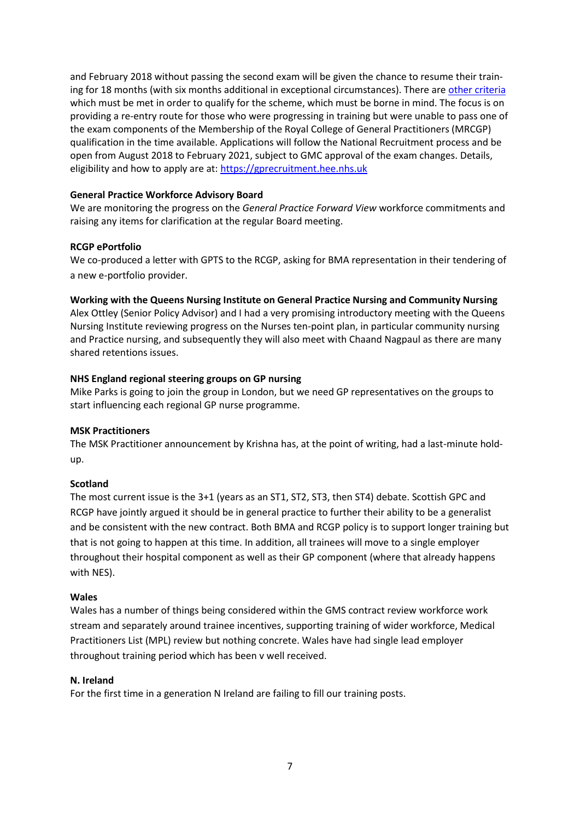and February 2018 without passing the second exam will be given the chance to resume their training for 18 months (with six months additional in exceptional circumstances). There are [other criteria](https://hee.nhs.uk/our-work/targeted-gp-training-scheme) which must be met in order to qualify for the scheme, which must be borne in mind. The focus is on providing a re-entry route for those who were progressing in training but were unable to pass one of the exam components of the Membership of the Royal College of General Practitioners (MRCGP) qualification in the time available. Applications will follow the National Recruitment process and be open from August 2018 to February 2021, subject to GMC approval of the exam changes. Details, eligibility and how to apply are at: [https://gprecruitment.hee.nhs.uk](https://gprecruitment.hee.nhs.uk/)

#### **General Practice Workforce Advisory Board**

We are monitoring the progress on the *General Practice Forward View* workforce commitments and raising any items for clarification at the regular Board meeting.

## **RCGP ePortfolio**

We co-produced a letter with GPTS to the RCGP, asking for BMA representation in their tendering of a new e-portfolio provider.

## **Working with the Queens Nursing Institute on General Practice Nursing and Community Nursing**

Alex Ottley (Senior Policy Advisor) and I had a very promising introductory meeting with the Queens Nursing Institute reviewing progress on the Nurses ten-point plan, in particular community nursing and Practice nursing, and subsequently they will also meet with Chaand Nagpaul as there are many shared retentions issues.

## **NHS England regional steering groups on GP nursing**

Mike Parks is going to join the group in London, but we need GP representatives on the groups to start influencing each regional GP nurse programme.

#### **MSK Practitioners**

The MSK Practitioner announcement by Krishna has, at the point of writing, had a last-minute holdup.

#### **Scotland**

The most current issue is the 3+1 (years as an ST1, ST2, ST3, then ST4) debate. Scottish GPC and RCGP have jointly argued it should be in general practice to further their ability to be a generalist and be consistent with the new contract. Both BMA and RCGP policy is to support longer training but that is not going to happen at this time. In addition, all trainees will move to a single employer throughout their hospital component as well as their GP component (where that already happens with NES).

#### **Wales**

Wales has a number of things being considered within the GMS contract review workforce work stream and separately around trainee incentives, supporting training of wider workforce, Medical Practitioners List (MPL) review but nothing concrete. Wales have had single lead employer throughout training period which has been v well received.

#### **N. Ireland**

For the first time in a generation N Ireland are failing to fill our training posts.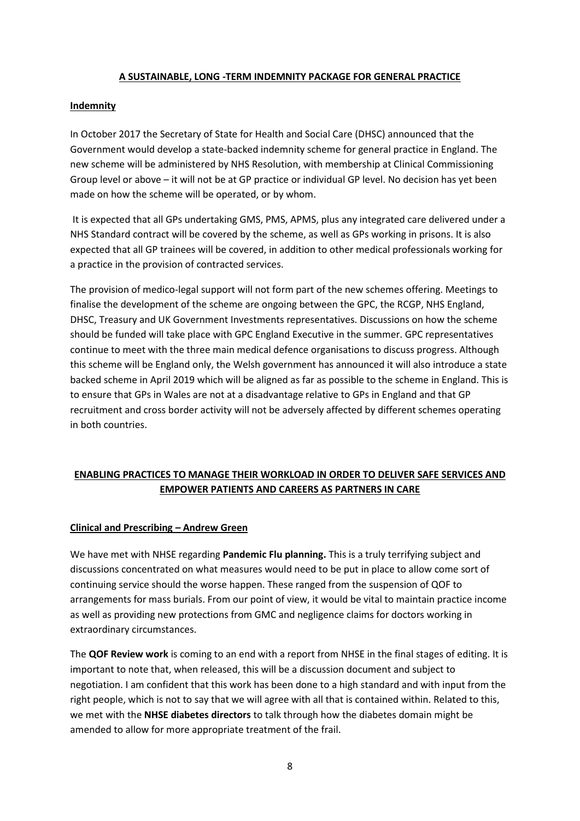#### **A SUSTAINABLE, LONG -TERM INDEMNITY PACKAGE FOR GENERAL PRACTICE**

## **Indemnity**

In October 2017 the Secretary of State for Health and Social Care (DHSC) announced that the Government would develop a state-backed indemnity scheme for general practice in England. The new scheme will be administered by NHS Resolution, with membership at Clinical Commissioning Group level or above – it will not be at GP practice or individual GP level. No decision has yet been made on how the scheme will be operated, or by whom.

It is expected that all GPs undertaking GMS, PMS, APMS, plus any integrated care delivered under a NHS Standard contract will be covered by the scheme, as well as GPs working in prisons. It is also expected that all GP trainees will be covered, in addition to other medical professionals working for a practice in the provision of contracted services.

The provision of medico-legal support will not form part of the new schemes offering. Meetings to finalise the development of the scheme are ongoing between the GPC, the RCGP, NHS England, DHSC, Treasury and UK Government Investments representatives. Discussions on how the scheme should be funded will take place with GPC England Executive in the summer. GPC representatives continue to meet with the three main medical defence organisations to discuss progress. Although this scheme will be England only, the Welsh government has announced it will also introduce a state backed scheme in April 2019 which will be aligned as far as possible to the scheme in England. This is to ensure that GPs in Wales are not at a disadvantage relative to GPs in England and that GP recruitment and cross border activity will not be adversely affected by different schemes operating in both countries.

# **ENABLING PRACTICES TO MANAGE THEIR WORKLOAD IN ORDER TO DELIVER SAFE SERVICES AND EMPOWER PATIENTS AND CAREERS AS PARTNERS IN CARE**

# **Clinical and Prescribing – Andrew Green**

We have met with NHSE regarding **Pandemic Flu planning.** This is a truly terrifying subject and discussions concentrated on what measures would need to be put in place to allow come sort of continuing service should the worse happen. These ranged from the suspension of QOF to arrangements for mass burials. From our point of view, it would be vital to maintain practice income as well as providing new protections from GMC and negligence claims for doctors working in extraordinary circumstances.

The **QOF Review work** is coming to an end with a report from NHSE in the final stages of editing. It is important to note that, when released, this will be a discussion document and subject to negotiation. I am confident that this work has been done to a high standard and with input from the right people, which is not to say that we will agree with all that is contained within. Related to this, we met with the **NHSE diabetes directors** to talk through how the diabetes domain might be amended to allow for more appropriate treatment of the frail.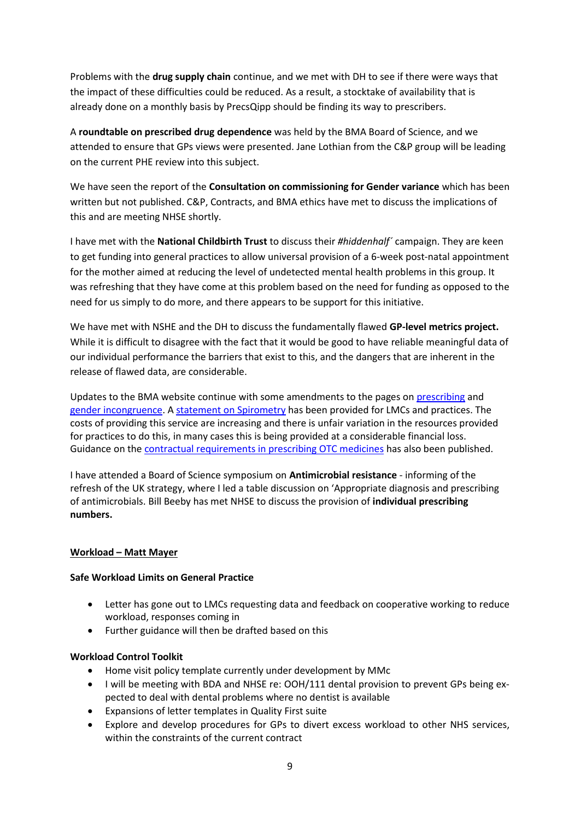Problems with the **drug supply chain** continue, and we met with DH to see if there were ways that the impact of these difficulties could be reduced. As a result, a stocktake of availability that is already done on a monthly basis by PrecsQipp should be finding its way to prescribers.

A **roundtable on prescribed drug dependence** was held by the BMA Board of Science, and we attended to ensure that GPs views were presented. Jane Lothian from the C&P group will be leading on the current PHE review into this subject.

We have seen the report of the **Consultation on commissioning for Gender variance** which has been written but not published. C&P, Contracts, and BMA ethics have met to discuss the implications of this and are meeting NHSE shortly.

I have met with the **National Childbirth Trust** to discuss their *#hiddenhalf´* campaign. They are keen to get funding into general practices to allow universal provision of a 6-week post-natal appointment for the mother aimed at reducing the level of undetected mental health problems in this group. It was refreshing that they have come at this problem based on the need for funding as opposed to the need for us simply to do more, and there appears to be support for this initiative.

We have met with NSHE and the DH to discuss the fundamentally flawed **GP-level metrics project.** While it is difficult to disagree with the fact that it would be good to have reliable meaningful data of our individual performance the barriers that exist to this, and the dangers that are inherent in the release of flawed data, are considerable.

Updates to the BMA website continue with some amendments to the pages on [prescribing](https://www.bma.org.uk/advice/employment/gp-practices/service-provision/prescribing/prescribing-in-general-practice) and [gender incongruence.](https://www.bma.org.uk/advice/employment/gp-practices/service-provision/prescribing/gender-incongruence-in-primary-care) A [statement on Spirometry](https://www.bma.org.uk/advice/employment/gp-practices/service-provision/prescribing/spirometry-in-primary-care-gpc-statement) has been provided for LMCs and practices. The costs of providing this service are increasing and there is unfair variation in the resources provided for practices to do this, in many cases this is being provided at a considerable financial loss. Guidance on the [contractual requirements in prescribing OTC medicines](https://www.bma.org.uk/advice/employment/gp-practices/service-provision/prescribing/low-value-medicine-guidance) has also been published.

I have attended a Board of Science symposium on **Antimicrobial resistance** - informing of the refresh of the UK strategy, where I led a table discussion on 'Appropriate diagnosis and prescribing of antimicrobials. Bill Beeby has met NHSE to discuss the provision of **individual prescribing numbers.**

# **Workload – Matt Mayer**

#### **Safe Workload Limits on General Practice**

- Letter has gone out to LMCs requesting data and feedback on cooperative working to reduce workload, responses coming in
- Further guidance will then be drafted based on this

# **Workload Control Toolkit**

- Home visit policy template currently under development by MMc
- I will be meeting with BDA and NHSE re: OOH/111 dental provision to prevent GPs being expected to deal with dental problems where no dentist is available
- Expansions of letter templates in Quality First suite
- Explore and develop procedures for GPs to divert excess workload to other NHS services, within the constraints of the current contract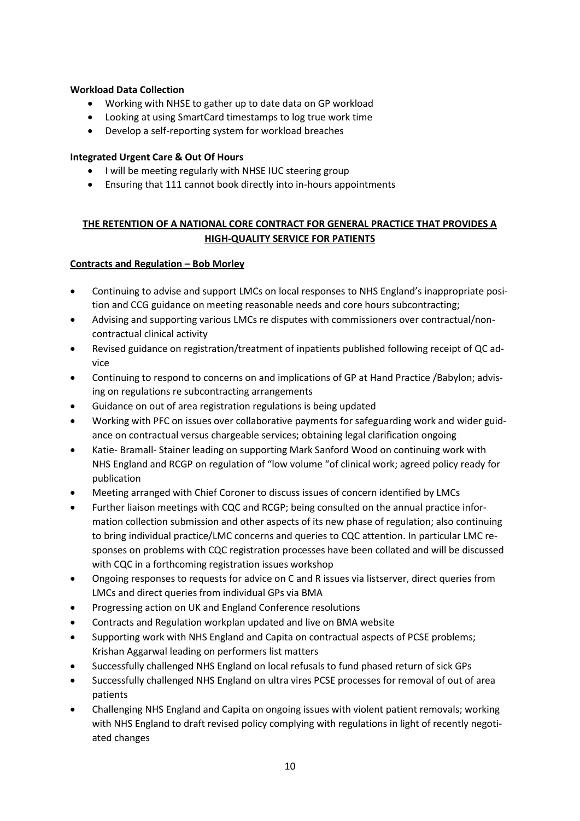# **Workload Data Collection**

- Working with NHSE to gather up to date data on GP workload
- Looking at using SmartCard timestamps to log true work time
- Develop a self-reporting system for workload breaches

# **Integrated Urgent Care & Out Of Hours**

- I will be meeting regularly with NHSE IUC steering group
- Ensuring that 111 cannot book directly into in-hours appointments

# **THE RETENTION OF A NATIONAL CORE CONTRACT FOR GENERAL PRACTICE THAT PROVIDES A HIGH-QUALITY SERVICE FOR PATIENTS**

## **Contracts and Regulation – Bob Morley**

- Continuing to advise and support LMCs on local responses to NHS England's inappropriate position and CCG guidance on meeting reasonable needs and core hours subcontracting;
- Advising and supporting various LMCs re disputes with commissioners over contractual/noncontractual clinical activity
- Revised guidance on registration/treatment of inpatients published following receipt of QC advice
- Continuing to respond to concerns on and implications of GP at Hand Practice /Babylon; advising on regulations re subcontracting arrangements
- Guidance on out of area registration regulations is being updated
- Working with PFC on issues over collaborative payments for safeguarding work and wider guidance on contractual versus chargeable services; obtaining legal clarification ongoing
- Katie- Bramall- Stainer leading on supporting Mark Sanford Wood on continuing work with NHS England and RCGP on regulation of "low volume "of clinical work; agreed policy ready for publication
- Meeting arranged with Chief Coroner to discuss issues of concern identified by LMCs
- Further liaison meetings with CQC and RCGP; being consulted on the annual practice information collection submission and other aspects of its new phase of regulation; also continuing to bring individual practice/LMC concerns and queries to CQC attention. In particular LMC responses on problems with CQC registration processes have been collated and will be discussed with CQC in a forthcoming registration issues workshop
- Ongoing responses to requests for advice on C and R issues via listserver, direct queries from LMCs and direct queries from individual GPs via BMA
- Progressing action on UK and England Conference resolutions
- Contracts and Regulation workplan updated and live on BMA website
- Supporting work with NHS England and Capita on contractual aspects of PCSE problems; Krishan Aggarwal leading on performers list matters
- Successfully challenged NHS England on local refusals to fund phased return of sick GPs
- Successfully challenged NHS England on ultra vires PCSE processes for removal of out of area patients
- Challenging NHS England and Capita on ongoing issues with violent patient removals; working with NHS England to draft revised policy complying with regulations in light of recently negotiated changes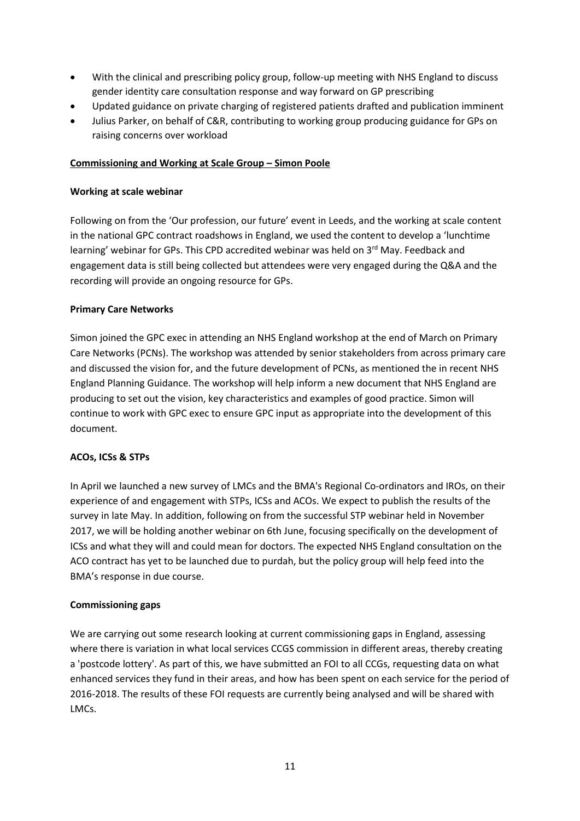- With the clinical and prescribing policy group, follow-up meeting with NHS England to discuss gender identity care consultation response and way forward on GP prescribing
- Updated guidance on private charging of registered patients drafted and publication imminent
- Julius Parker, on behalf of C&R, contributing to working group producing guidance for GPs on raising concerns over workload

## **Commissioning and Working at Scale Group – Simon Poole**

#### **Working at scale webinar**

Following on from the 'Our profession, our future' event in Leeds, and the working at scale content in the national GPC contract roadshows in England, we used the content to develop a 'lunchtime learning' webinar for GPs. This CPD accredited webinar was held on 3<sup>rd</sup> May. Feedback and engagement data is still being collected but attendees were very engaged during the Q&A and the recording will provide an ongoing resource for GPs.

## **Primary Care Networks**

Simon joined the GPC exec in attending an NHS England workshop at the end of March on Primary Care Networks (PCNs). The workshop was attended by senior stakeholders from across primary care and discussed the vision for, and the future development of PCNs, as mentioned the in recent NHS England Planning Guidance. The workshop will help inform a new document that NHS England are producing to set out the vision, key characteristics and examples of good practice. Simon will continue to work with GPC exec to ensure GPC input as appropriate into the development of this document.

#### **ACOs, ICSs & STPs**

In April we launched a new survey of LMCs and the BMA's Regional Co-ordinators and IROs, on their experience of and engagement with STPs, ICSs and ACOs. We expect to publish the results of the survey in late May. In addition, following on from the successful STP webinar held in November 2017, we will be holding another webinar on 6th June, focusing specifically on the development of ICSs and what they will and could mean for doctors. The expected NHS England consultation on the ACO contract has yet to be launched due to purdah, but the policy group will help feed into the BMA's response in due course.

#### **Commissioning gaps**

We are carrying out some research looking at current commissioning gaps in England, assessing where there is variation in what local services CCGS commission in different areas, thereby creating a 'postcode lottery'. As part of this, we have submitted an FOI to all CCGs, requesting data on what enhanced services they fund in their areas, and how has been spent on each service for the period of 2016-2018. The results of these FOI requests are currently being analysed and will be shared with LMCs.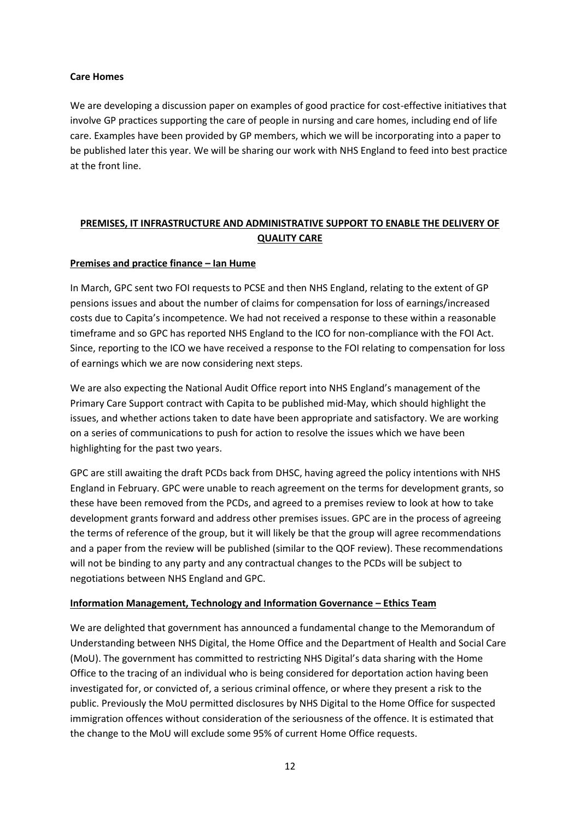## **Care Homes**

We are developing a discussion paper on examples of good practice for cost-effective initiatives that involve GP practices supporting the care of people in nursing and care homes, including end of life care. Examples have been provided by GP members, which we will be incorporating into a paper to be published later this year. We will be sharing our work with NHS England to feed into best practice at the front line.

# **PREMISES, IT INFRASTRUCTURE AND ADMINISTRATIVE SUPPORT TO ENABLE THE DELIVERY OF QUALITY CARE**

# **Premises and practice finance – Ian Hume**

In March, GPC sent two FOI requests to PCSE and then NHS England, relating to the extent of GP pensions issues and about the number of claims for compensation for loss of earnings/increased costs due to Capita's incompetence. We had not received a response to these within a reasonable timeframe and so GPC has reported NHS England to the ICO for non-compliance with the FOI Act. Since, reporting to the ICO we have received a response to the FOI relating to compensation for loss of earnings which we are now considering next steps.

We are also expecting the National Audit Office report into NHS England's management of the Primary Care Support contract with Capita to be published mid-May, which should highlight the issues, and whether actions taken to date have been appropriate and satisfactory. We are working on a series of communications to push for action to resolve the issues which we have been highlighting for the past two years.

GPC are still awaiting the draft PCDs back from DHSC, having agreed the policy intentions with NHS England in February. GPC were unable to reach agreement on the terms for development grants, so these have been removed from the PCDs, and agreed to a premises review to look at how to take development grants forward and address other premises issues. GPC are in the process of agreeing the terms of reference of the group, but it will likely be that the group will agree recommendations and a paper from the review will be published (similar to the QOF review). These recommendations will not be binding to any party and any contractual changes to the PCDs will be subject to negotiations between NHS England and GPC.

#### **Information Management, Technology and Information Governance – Ethics Team**

We are delighted that government has announced a fundamental change to the Memorandum of Understanding between NHS Digital, the Home Office and the Department of Health and Social Care (MoU). The government has committed to restricting NHS Digital's data sharing with the Home Office to the tracing of an individual who is being considered for deportation action having been investigated for, or convicted of, a serious criminal offence, or where they present a risk to the public. Previously the MoU permitted disclosures by NHS Digital to the Home Office for suspected immigration offences without consideration of the seriousness of the offence. It is estimated that the change to the MoU will exclude some 95% of current Home Office requests.